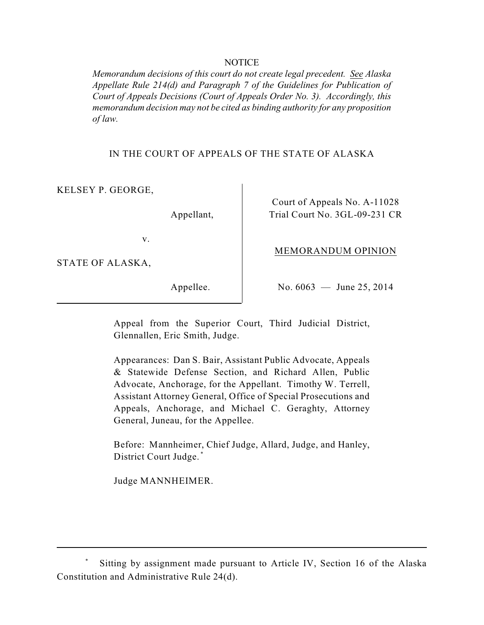## NOTICE

*Memorandum decisions of this court do not create legal precedent. See Alaska Appellate Rule 214(d) and Paragraph 7 of the Guidelines for Publication of Court of Appeals Decisions (Court of Appeals Order No. 3). Accordingly, this memorandum decision may not be cited as binding authority for any proposition of law.* 

IN THE COURT OF APPEALS OF THE STATE OF ALASKA

KELSEY P. GEORGE,

Appellant,

Court of Appeals No. A-11028 Trial Court No. 3GL-09-231 CR

v.

STATE OF ALASKA,

Appellee.

No. 6063 — June 25, 2014

MEMORANDUM OPINION

Appeal from the Superior Court, Third Judicial District, Glennallen, Eric Smith, Judge.

 Assistant Attorney General, Office of Special Prosecutions and Appearances: Dan S. Bair, Assistant Public Advocate, Appeals & Statewide Defense Section, and Richard Allen, Public Advocate, Anchorage, for the Appellant. Timothy W. Terrell, Appeals, Anchorage, and Michael C. Geraghty, Attorney General, Juneau, for the Appellee.

 Before: Mannheimer, Chief Judge, Allard, Judge, and Hanley, District Court Judge. \*

Judge MANNHEIMER.

Sitting by assignment made pursuant to Article IV, Section 16 of the Alaska Constitution and Administrative Rule 24(d).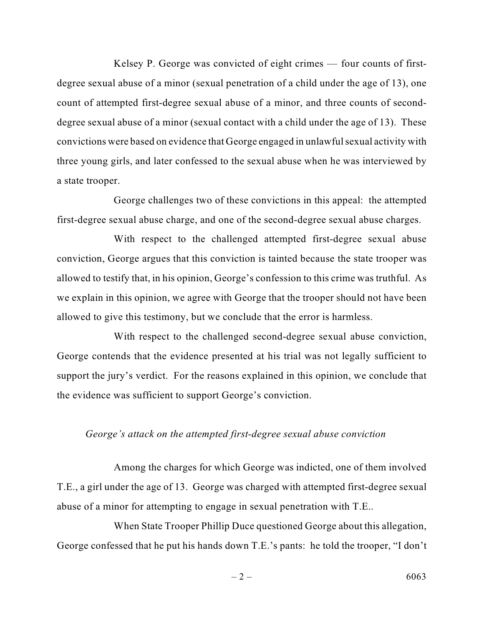Kelsey P. George was convicted of eight crimes — four counts of first- degree sexual abuse of a minor (sexual penetration of a child under the age of 13), one count of attempted first-degree sexual abuse of a minor, and three counts of second- three young girls, and later confessed to the sexual abuse when he was interviewed by degree sexual abuse of a minor (sexual contact with a child under the age of 13). These convictions were based on evidence that George engaged in unlawful sexual activity with a state trooper.

 George challenges two of these convictions in this appeal: the attempted first-degree sexual abuse charge, and one of the second-degree sexual abuse charges.

 With respect to the challenged attempted first-degree sexual abuse allowed to testify that, in his opinion, George's confession to this crime was truthful. As we explain in this opinion, we agree with George that the trooper should not have been conviction, George argues that this conviction is tainted because the state trooper was allowed to give this testimony, but we conclude that the error is harmless.

With respect to the challenged second-degree sexual abuse conviction, George contends that the evidence presented at his trial was not legally sufficient to support the jury's verdict. For the reasons explained in this opinion, we conclude that the evidence was sufficient to support George's conviction.

## *George's attack on the attempted first-degree sexual abuse conviction*

Among the charges for which George was indicted, one of them involved T.E., a girl under the age of 13. George was charged with attempted first-degree sexual abuse of a minor for attempting to engage in sexual penetration with T.E..

When State Trooper Phillip Duce questioned George about this allegation, George confessed that he put his hands down T.E.'s pants: he told the trooper, "I don't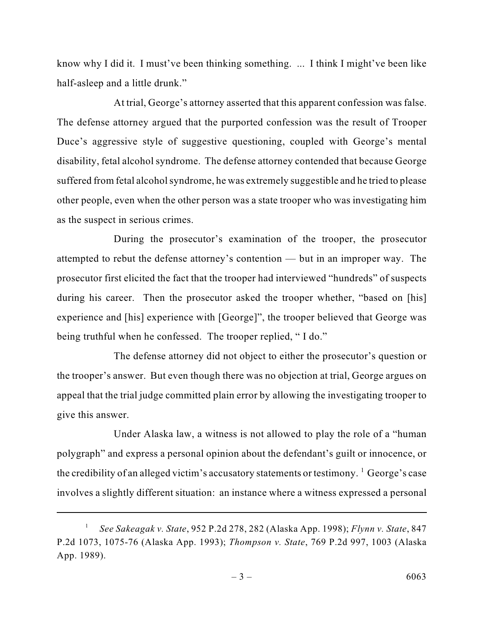know why I did it. I must've been thinking something. ... I think I might've been like half-asleep and a little drunk."

 disability, fetal alcohol syndrome. The defense attorney contended that because George suffered from fetal alcohol syndrome, he was extremely suggestible and he tried to please other people, even when the other person was a state trooper who was investigating him At trial, George's attorney asserted that this apparent confession was false. The defense attorney argued that the purported confession was the result of Trooper Duce's aggressive style of suggestive questioning, coupled with George's mental as the suspect in serious crimes.

 attempted to rebut the defense attorney's contention — but in an improper way. The prosecutor first elicited the fact that the trooper had interviewed "hundreds" of suspects During the prosecutor's examination of the trooper, the prosecutor during his career. Then the prosecutor asked the trooper whether, "based on [his] experience and [his] experience with [George]", the trooper believed that George was being truthful when he confessed. The trooper replied, "I do."

 the trooper's answer. But even though there was no objection at trial, George argues on appeal that the trial judge committed plain error by allowing the investigating trooper to The defense attorney did not object to either the prosecutor's question or give this answer.

 Under Alaska law, a witness is not allowed to play the role of a "human the credibility of an alleged victim's accusatory statements or testimony.  $^1$  George's case involves a slightly different situation: an instance where a witness expressed a personal polygraph" and express a personal opinion about the defendant's guilt or innocence, or

*See Sakeagak v. State*, 952 P.2d 278, 282 (Alaska App. 1998); *Flynn v. State*, 847 P.2d 1073, 1075-76 (Alaska App. 1993); *Thompson v. State*, 769 P.2d 997, 1003 (Alaska App. 1989). 1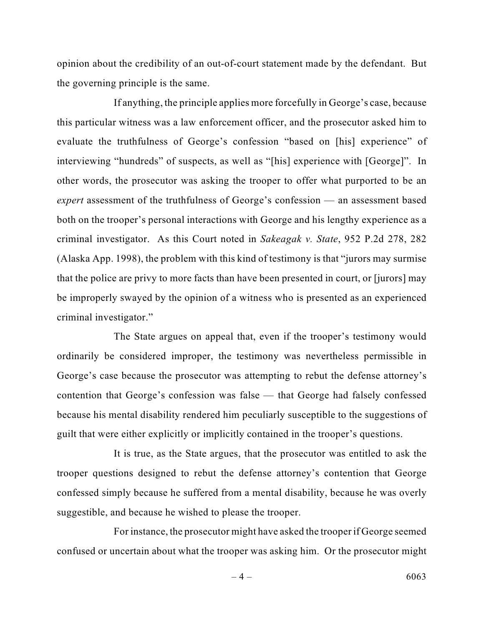opinion about the credibility of an out-of-court statement made by the defendant. But the governing principle is the same.

 evaluate the truthfulness of George's confession "based on [his] experience" of If anything, the principle applies more forcefully in George's case, because this particular witness was a law enforcement officer, and the prosecutor asked him to interviewing "hundreds" of suspects, as well as "[his] experience with [George]". In other words, the prosecutor was asking the trooper to offer what purported to be an *expert* assessment of the truthfulness of George's confession — an assessment based both on the trooper's personal interactions with George and his lengthy experience as a criminal investigator. As this Court noted in *Sakeagak v. State*, 952 P.2d 278, 282 (Alaska App. 1998), the problem with this kind of testimony is that "jurors may surmise that the police are privy to more facts than have been presented in court, or [jurors] may be improperly swayed by the opinion of a witness who is presented as an experienced criminal investigator."

 The State argues on appeal that, even if the trooper's testimony would ordinarily be considered improper, the testimony was nevertheless permissible in George's case because the prosecutor was attempting to rebut the defense attorney's contention that George's confession was false — that George had falsely confessed because his mental disability rendered him peculiarly susceptible to the suggestions of guilt that were either explicitly or implicitly contained in the trooper's questions.

 confessed simply because he suffered from a mental disability, because he was overly It is true, as the State argues, that the prosecutor was entitled to ask the trooper questions designed to rebut the defense attorney's contention that George suggestible, and because he wished to please the trooper.

For instance, the prosecutor might have asked the trooper if George seemed confused or uncertain about what the trooper was asking him. Or the prosecutor might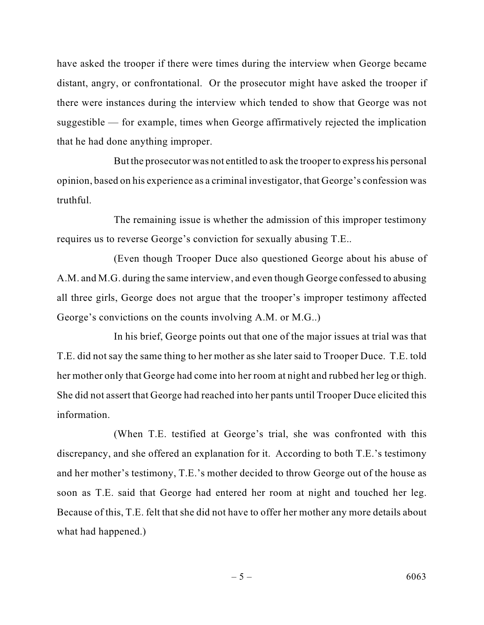there were instances during the interview which tended to show that George was not have asked the trooper if there were times during the interview when George became distant, angry, or confrontational. Or the prosecutor might have asked the trooper if suggestible — for example, times when George affirmatively rejected the implication that he had done anything improper.

But the prosecutor was not entitled to ask the trooper to express his personal opinion, based on his experience as a criminal investigator, that George's confession was truthful.

 The remaining issue is whether the admission of this improper testimony requires us to reverse George's conviction for sexually abusing T.E..

(Even though Trooper Duce also questioned George about his abuse of A.M. and M.G. during the same interview, and even though George confessed to abusing all three girls, George does not argue that the trooper's improper testimony affected George's convictions on the counts involving A.M. or M.G..)

 In his brief, George points out that one of the major issues at trial was that T.E. did not say the same thing to her mother as she later said to Trooper Duce. T.E. told her mother only that George had come into her room at night and rubbed her leg or thigh. She did not assert that George had reached into her pants until Trooper Duce elicited this information.

 discrepancy, and she offered an explanation for it. According to both T.E.'s testimony (When T.E. testified at George's trial, she was confronted with this and her mother's testimony, T.E.'s mother decided to throw George out of the house as soon as T.E. said that George had entered her room at night and touched her leg. Because of this, T.E. felt that she did not have to offer her mother any more details about what had happened.)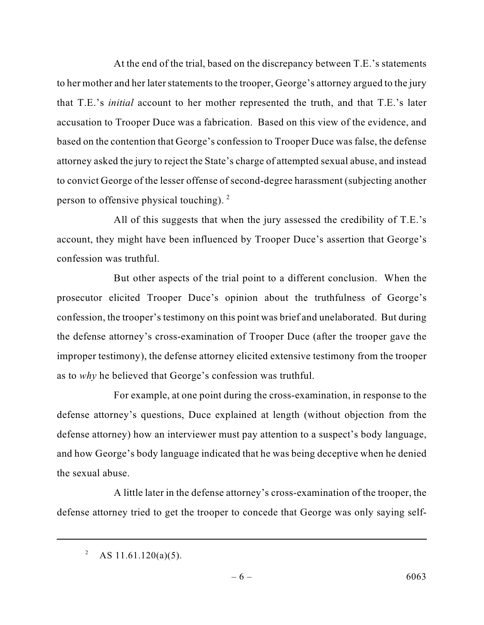to her mother and her later statements to the trooper, George's attorney argued to the jury accusation to Trooper Duce was a fabrication. Based on this view of the evidence, and to convict George of the lesser offense of second-degree harassment (subjecting another At the end of the trial, based on the discrepancy between T.E.'s statements that T.E.'s *initial* account to her mother represented the truth, and that T.E.'s later based on the contention that George's confession to Trooper Duce was false, the defense attorney asked the jury to reject the State's charge of attempted sexual abuse, and instead person to offensive physical touching). 2

All of this suggests that when the jury assessed the credibility of T.E.'s account, they might have been influenced by Trooper Duce's assertion that George's confession was truthful.

 But other aspects of the trial point to a different conclusion. When the prosecutor elicited Trooper Duce's opinion about the truthfulness of George's confession, the trooper's testimony on this point was brief and unelaborated. But during the defense attorney's cross-examination of Trooper Duce (after the trooper gave the improper testimony), the defense attorney elicited extensive testimony from the trooper as to *why* he believed that George's confession was truthful.

 For example, at one point during the cross-examination, in response to the and how George's body language indicated that he was being deceptive when he denied defense attorney's questions, Duce explained at length (without objection from the defense attorney) how an interviewer must pay attention to a suspect's body language, the sexual abuse.

 A little later in the defense attorney's cross-examination of the trooper, the defense attorney tried to get the trooper to concede that George was only saying self-

AS 11.61.120(a)(5). 2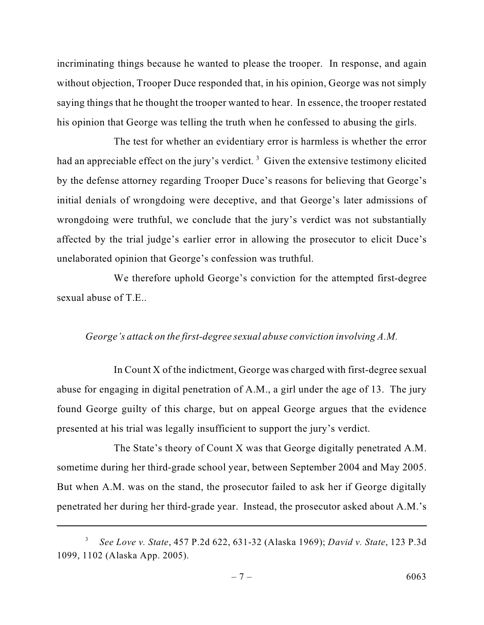without objection, Trooper Duce responded that, in his opinion, George was not simply incriminating things because he wanted to please the trooper. In response, and again saying things that he thought the trooper wanted to hear. In essence, the trooper restated his opinion that George was telling the truth when he confessed to abusing the girls.

 The test for whether an evidentiary error is harmless is whether the error had an appreciable effect on the jury's verdict.<sup>3</sup> Given the extensive testimony elicited by the defense attorney regarding Trooper Duce's reasons for believing that George's initial denials of wrongdoing were deceptive, and that George's later admissions of wrongdoing were truthful, we conclude that the jury's verdict was not substantially affected by the trial judge's earlier error in allowing the prosecutor to elicit Duce's unelaborated opinion that George's confession was truthful.

We therefore uphold George's conviction for the attempted first-degree sexual abuse of T.E..

## *George's attack on the first-degree sexual abuse conviction involving A.M.*

In Count X of the indictment, George was charged with first-degree sexual abuse for engaging in digital penetration of A.M., a girl under the age of 13. The jury found George guilty of this charge, but on appeal George argues that the evidence presented at his trial was legally insufficient to support the jury's verdict.

 The State's theory of Count X was that George digitally penetrated A.M. But when A.M. was on the stand, the prosecutor failed to ask her if George digitally sometime during her third-grade school year, between September 2004 and May 2005. penetrated her during her third-grade year. Instead, the prosecutor asked about A.M.'s

*See Love v. State*, 457 P.2d 622, 631-32 (Alaska 1969); *David v. State*, 123 P.3d 1099, 1102 (Alaska App. 2005). 3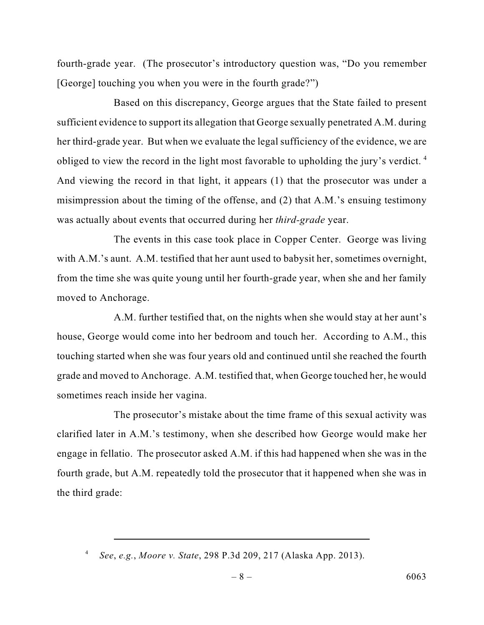[George] touching you when you were in the fourth grade?") fourth-grade year. (The prosecutor's introductory question was, "Do you remember

 sufficient evidence to support its allegation that George sexually penetrated A.M. during her third-grade year. But when we evaluate the legal sufficiency of the evidence, we are Based on this discrepancy, George argues that the State failed to present obliged to view the record in the light most favorable to upholding the jury's verdict. 4 And viewing the record in that light, it appears (1) that the prosecutor was under a misimpression about the timing of the offense, and (2) that A.M.'s ensuing testimony was actually about events that occurred during her *third-grade* year.

 from the time she was quite young until her fourth-grade year, when she and her family The events in this case took place in Copper Center. George was living with A.M.'s aunt. A.M. testified that her aunt used to babysit her, sometimes overnight, moved to Anchorage.

 touching started when she was four years old and continued until she reached the fourth grade and moved to Anchorage. A.M. testified that, when George touched her, he would A.M. further testified that, on the nights when she would stay at her aunt's house, George would come into her bedroom and touch her. According to A.M., this sometimes reach inside her vagina.

 engage in fellatio. The prosecutor asked A.M. if this had happened when she was in the fourth grade, but A.M. repeatedly told the prosecutor that it happened when she was in The prosecutor's mistake about the time frame of this sexual activity was clarified later in A.M.'s testimony, when she described how George would make her the third grade:

*See*, *e.g.*, *Moore v. State*, 298 P.3d 209, 217 (Alaska App. 2013). 4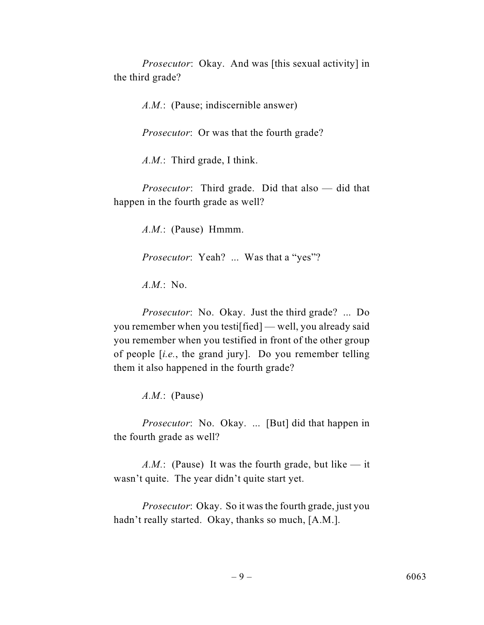*Prosecutor*: Okay. And was [this sexual activity] in the third grade?

*A.M.*: (Pause; indiscernible answer)

*Prosecutor*: Or was that the fourth grade?

*A.M.*: Third grade, I think.

*Prosecutor*: Third grade. Did that also — did that happen in the fourth grade as well?

*A.M.*: (Pause) Hmmm.

*Prosecutor*: Yeah? ... Was that a "yes"?

*A.M.*: No.

 *Prosecutor*: No. Okay. Just the third grade? ... Do you remember when you testi[fied] — well, you already said you remember when you testified in front of the other group of people [*i.e.*, the grand jury]. Do you remember telling them it also happened in the fourth grade?

*A.M.*: (Pause)

*Prosecutor*: No. Okay. ... [But] did that happen in the fourth grade as well?

*A.M.*: (Pause) It was the fourth grade, but like  $-$  it wasn't quite. The year didn't quite start yet.

 *Prosecutor*: Okay. So it was the fourth grade, just you hadn't really started. Okay, thanks so much, [A.M.].